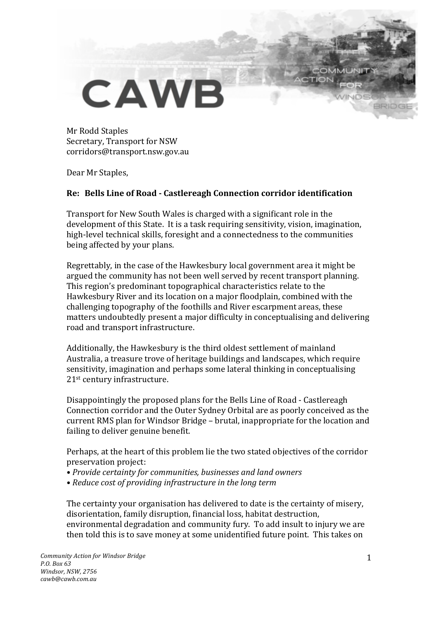## **CAWB**

Mr Rodd Staples Secretary, Transport for NSW corridors@transport.nsw.gov.au

Dear Mr Staples,

## **Re: Bells Line of Road - Castlereagh Connection corridor identification**

Transport for New South Wales is charged with a significant role in the development of this State. It is a task requiring sensitivity, vision, imagination, high-level technical skills, foresight and a connectedness to the communities being affected by your plans.

Regrettably, in the case of the Hawkesbury local government area it might be argued the community has not been well served by recent transport planning. This region's predominant topographical characteristics relate to the Hawkesbury River and its location on a major floodplain, combined with the challenging topography of the foothills and River escarpment areas, these matters undoubtedly present a major difficulty in conceptualising and delivering road and transport infrastructure.

Additionally, the Hawkesbury is the third oldest settlement of mainland Australia, a treasure trove of heritage buildings and landscapes, which require sensitivity, imagination and perhaps some lateral thinking in conceptualising  $21<sup>st</sup>$  century infrastructure.

Disappointingly the proposed plans for the Bells Line of Road - Castlereagh Connection corridor and the Outer Sydney Orbital are as poorly conceived as the current RMS plan for Windsor Bridge - brutal, inappropriate for the location and failing to deliver genuine benefit.

Perhaps, at the heart of this problem lie the two stated objectives of the corridor preservation project:

- Provide certainty for communities, businesses and land owners
- Reduce cost of providing infrastructure in the long term

The certainty your organisation has delivered to date is the certainty of misery. disorientation, family disruption, financial loss, habitat destruction, environmental degradation and community fury. To add insult to injury we are then told this is to save money at some unidentified future point. This takes on

BRID